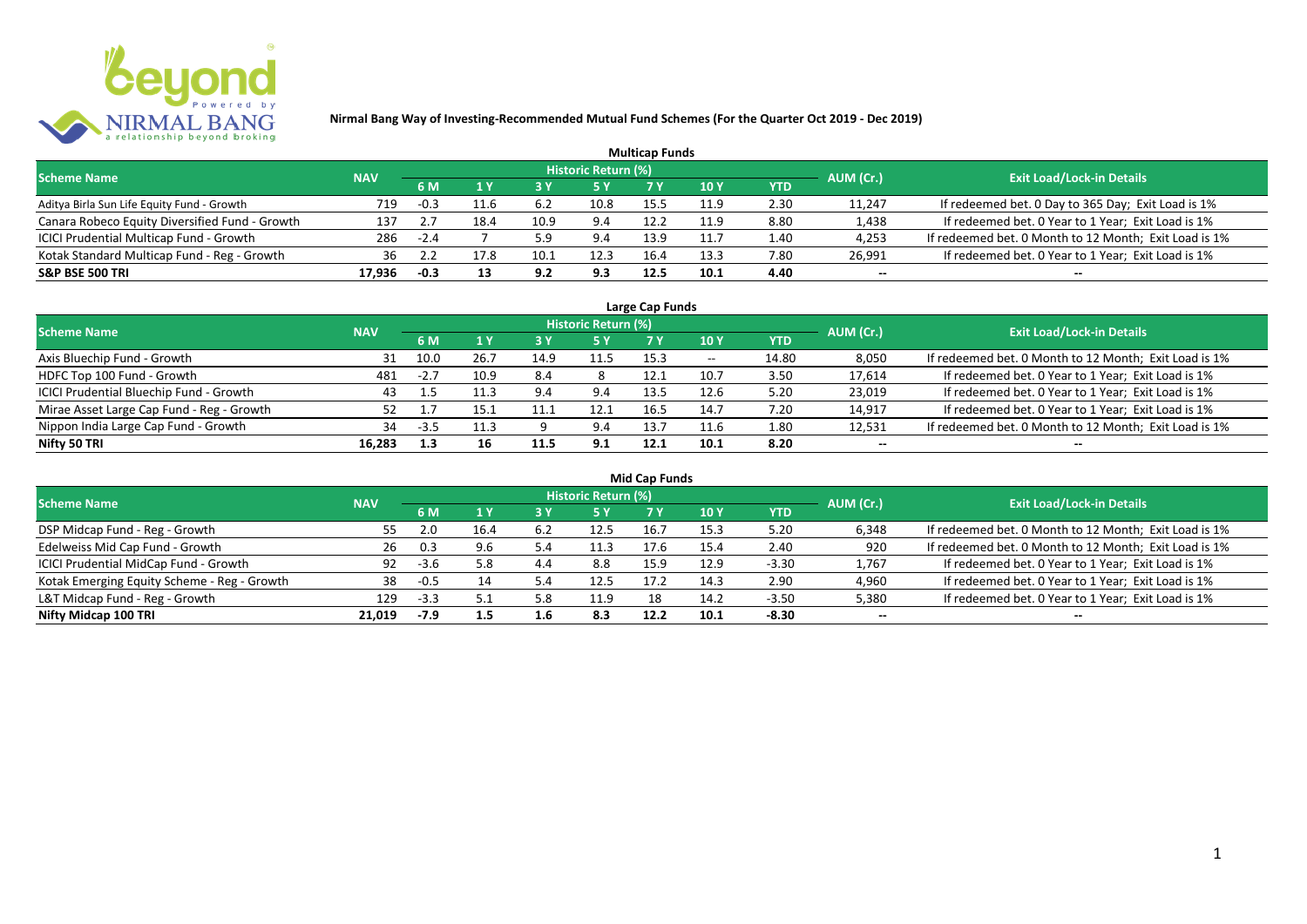

|                                                |            |        |      |      |                     | <b>Multicap Funds</b> |      |      |           |                                                       |
|------------------------------------------------|------------|--------|------|------|---------------------|-----------------------|------|------|-----------|-------------------------------------------------------|
| <b>Scheme Name</b>                             | <b>NAV</b> |        |      |      | Historic Return (%) |                       |      |      | AUM (Cr.) | <b>Exit Load/Lock-in Details</b>                      |
|                                                |            | 6 M    |      |      |                     |                       | 10 Y | YTD  |           |                                                       |
| Aditya Birla Sun Life Equity Fund - Growth     | 719        | $-0.3$ | 11.6 | 6.2  | 10.8                | 15.5                  | 11.9 | 2.30 | 11,247    | If redeemed bet. 0 Day to 365 Day; Exit Load is 1%    |
| Canara Robeco Equity Diversified Fund - Growth | 137        | ، ،    | 18.4 | 10.9 | 9.4                 | 12.2                  | 11.9 | 8.80 | 1,438     | If redeemed bet. 0 Year to 1 Year; Exit Load is 1%    |
| ICICI Prudential Multicap Fund - Growth        | 286        | $-2.4$ |      | 5.9  | 9.4                 | 13.9                  | 11.1 | 1.40 | 4,253     | If redeemed bet. 0 Month to 12 Month; Exit Load is 1% |
| Kotak Standard Multicap Fund - Reg - Growth    | 36         |        |      | 10.1 | 12.3                | 16.4                  | 13.3 | 7.80 | 26,991    | If redeemed bet. 0 Year to 1 Year; Exit Load is 1%    |
| <b>S&amp;P BSE 500 TRI</b>                     | 17.936     | -0.3   |      | 9.2  | 9.3                 | 12.5                  | 10.1 | 4.40 | --        | $- -$                                                 |

| Large Cap Funds                           |            |           |      |      |                            |      |                          |       |           |                                                       |  |  |  |
|-------------------------------------------|------------|-----------|------|------|----------------------------|------|--------------------------|-------|-----------|-------------------------------------------------------|--|--|--|
| <b>Scheme Name</b>                        | <b>NAV</b> |           |      |      | <b>Historic Return (%)</b> |      |                          |       | AUM (Cr.) | <b>Exit Load/Lock-in Details</b>                      |  |  |  |
|                                           |            | <b>6M</b> |      |      | <b>5 Y</b>                 | 7 Y  | 10Y                      | YTD   |           |                                                       |  |  |  |
| Axis Bluechip Fund - Growth               | 31         | 10.0      | 26.7 | 14.9 | 11.5                       | 15.3 | $\overline{\phantom{a}}$ | 14.80 | 8,050     | If redeemed bet. 0 Month to 12 Month; Exit Load is 1% |  |  |  |
| HDFC Top 100 Fund - Growth                | 481        | $-2.7$    | 10.9 | 8.4  |                            | 12.1 | 10.7                     | 3.50  | 17,614    | If redeemed bet. 0 Year to 1 Year; Exit Load is 1%    |  |  |  |
| ICICI Prudential Bluechip Fund - Growth   | 43         |           | 11.3 | 9.4  | 9.4                        | 13.5 | 12.6                     | 5.20  | 23,019    | If redeemed bet. 0 Year to 1 Year; Exit Load is 1%    |  |  |  |
| Mirae Asset Large Cap Fund - Reg - Growth | 52         |           | 15.1 |      | 12.1                       | 16.5 | 14.7                     | 7.20  | 14,917    | If redeemed bet. 0 Year to 1 Year; Exit Load is 1%    |  |  |  |
| Nippon India Large Cap Fund - Growth      | 34         | $-3.5$    | 11.3 |      | 9.4                        | 13.7 | 11.6                     | 1.80  | 12,531    | If redeemed bet. 0 Month to 12 Month; Exit Load is 1% |  |  |  |
| Nifty 50 TRI                              | 16.283     |           | 16   | 11.5 | 9.1                        | 12.1 | 10.1                     | 8.20  | $- -$     | $- -$                                                 |  |  |  |

| <b>Mid Cap Funds</b>                        |            |        |      |      |                            |      |      |            |           |                                                       |  |  |  |
|---------------------------------------------|------------|--------|------|------|----------------------------|------|------|------------|-----------|-------------------------------------------------------|--|--|--|
| <b>Scheme Name</b>                          | <b>NAV</b> |        |      |      | <b>Historic Return (%)</b> |      |      |            | AUM (Cr.) | <b>Exit Load/Lock-in Details</b>                      |  |  |  |
|                                             |            | 6 M    | 1 Y  |      | <b>5 Y</b>                 |      | 10 Y | <b>YTD</b> |           |                                                       |  |  |  |
| DSP Midcap Fund - Reg - Growth              | 55         |        | 16.4 | -6.2 | 12.5                       | 16.  | 15.3 | 5.20       | 6,348     | If redeemed bet. 0 Month to 12 Month; Exit Load is 1% |  |  |  |
| Edelweiss Mid Cap Fund - Growth             | 26         | 0.3    | 9.6  | 5.4  | 11.3                       | 17.6 | 15.4 | 2.40       | 920       | If redeemed bet. 0 Month to 12 Month; Exit Load is 1% |  |  |  |
| ICICI Prudential MidCap Fund - Growth       | 92         | $-3.6$ | 5.8  | 4.4  | 8.8                        | 15.9 | 12.9 | $-3.30$    | 1,767     | If redeemed bet. 0 Year to 1 Year; Exit Load is 1%    |  |  |  |
| Kotak Emerging Equity Scheme - Reg - Growth | 38         | $-0.5$ |      | 5.4  | 12.5                       | 17.2 | 14.3 | 2.90       | 4,960     | If redeemed bet. 0 Year to 1 Year; Exit Load is 1%    |  |  |  |
| L&T Midcap Fund - Reg - Growth              | 129        | $-3.3$ |      | 5.8  | 11.9                       | 18   | 14.2 | $-3.50$    | 5,380     | If redeemed bet. 0 Year to 1 Year; Exit Load is 1%    |  |  |  |
| Nifty Midcap 100 TRI                        | 21.019     | -7.9   | 1.5  | 1.6  | 8.3                        | 12.2 | 10.1 | $-8.30$    | $- -$     | $- -$                                                 |  |  |  |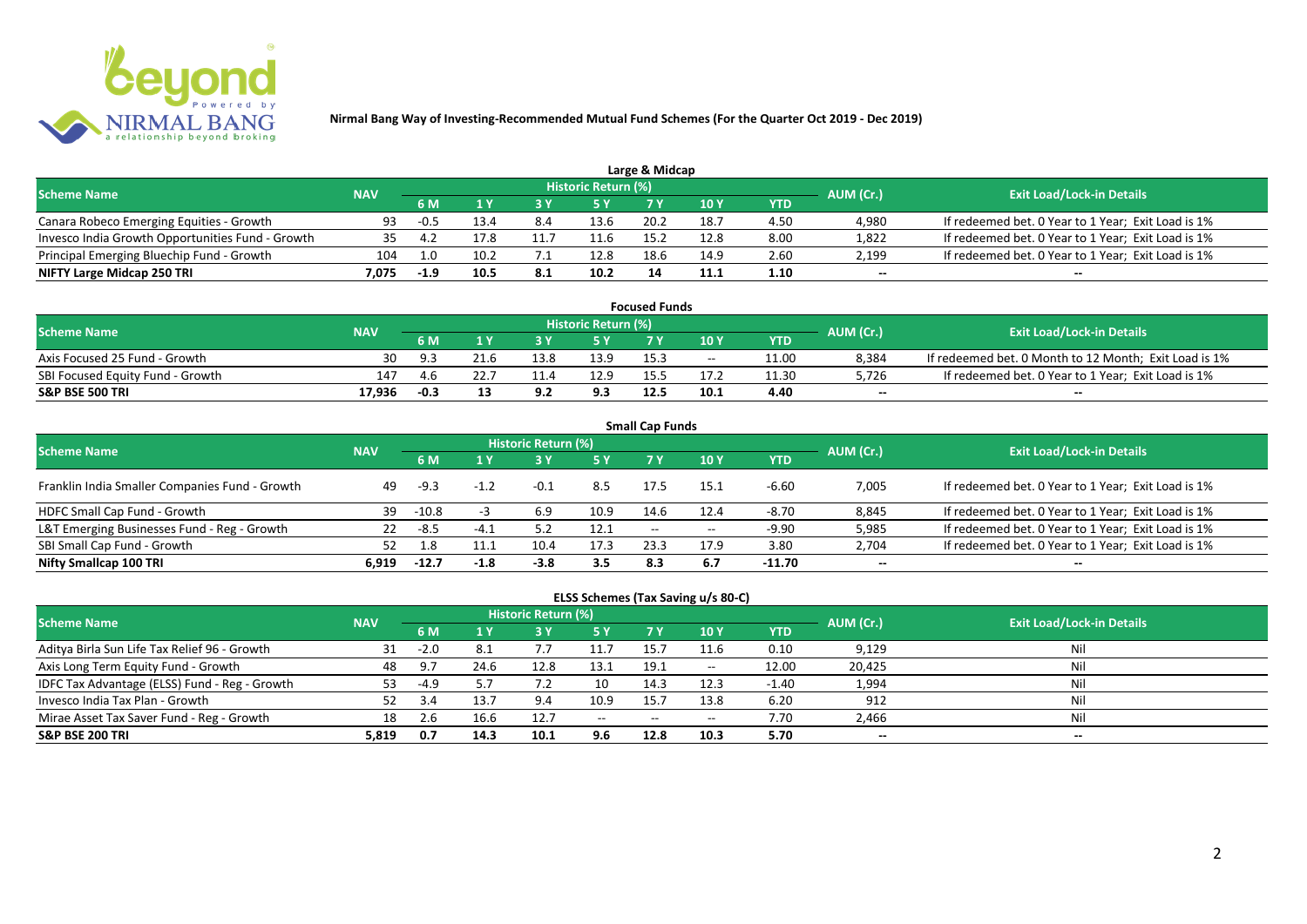

|                                                  |            |        |      |     |                            | Large & Midcap |      |      |           |                                                    |
|--------------------------------------------------|------------|--------|------|-----|----------------------------|----------------|------|------|-----------|----------------------------------------------------|
| <b>Scheme Name</b>                               | <b>NAV</b> |        |      |     | <b>Historic Return (%)</b> |                |      |      | AUM (Cr.) | <b>Exit Load/Lock-in Details</b>                   |
|                                                  |            | 6 M    |      |     | 5 Y                        |                |      | YTD  |           |                                                    |
| Canara Robeco Emerging Equities - Growth         | 93         | $-0.5$ | 13.4 | 8.4 | 13.6                       | 20.2           | 18.7 | 4.50 | 4,980     | If redeemed bet. 0 Year to 1 Year; Exit Load is 1% |
| Invesco India Growth Opportunities Fund - Growth | 35.        |        | 17.8 |     | 11.6                       | 15.            | 12.8 | 8.00 | 1,822     | If redeemed bet. 0 Year to 1 Year; Exit Load is 1% |
| Principal Emerging Bluechip Fund - Growth        | 104        | 1.0    | 10.2 |     | 12.8                       | 18.6           | 14.9 | 2.60 | 2,199     | If redeemed bet. 0 Year to 1 Year; Exit Load is 1% |
| NIFTY Large Midcap 250 TRI                       | 7.075      | $-1.9$ | 10.5 | 8.1 | 10.2                       | 14             | 11.1 | 1.10 | $- -$     | $- -$                                              |

| <b>Focused Funds</b>             |            |            |      |      |                            |      |       |       |           |                                                       |  |  |  |
|----------------------------------|------------|------------|------|------|----------------------------|------|-------|-------|-----------|-------------------------------------------------------|--|--|--|
| <b>Scheme Name</b>               | <b>NAV</b> |            |      |      | <b>Historic Return (%)</b> |      |       |       | AUM (Cr.) | <b>Exit Load/Lock-in Details</b>                      |  |  |  |
|                                  |            | 6 M        |      |      | 5 Y                        |      | 10 Y  | YTD   |           |                                                       |  |  |  |
| Axis Focused 25 Fund - Growth    | 30         | <b>ـ Q</b> | 21.6 | 13.8 | 13.9                       | 15.3 | $- -$ | 11.00 | 8,384     | If redeemed bet. 0 Month to 12 Month; Exit Load is 1% |  |  |  |
| SBI Focused Equity Fund - Growth | 147        | 4.b        |      |      | 12.9                       |      |       | 11.30 | 5,726     | If redeemed bet. 0 Year to 1 Year; Exit Load is 1%    |  |  |  |
| <b>S&amp;P BSE 500 TRI</b>       | 17,936     | $-0.3$     |      | 9.2  | 9.3                        | 12.5 | 10.1  | 4.40  | $- -$     | $-$                                                   |  |  |  |

| <b>Small Cap Funds</b>                         |            |         |        |                     |      |                   |       |            |           |                                                    |  |  |  |
|------------------------------------------------|------------|---------|--------|---------------------|------|-------------------|-------|------------|-----------|----------------------------------------------------|--|--|--|
| <b>Scheme Name</b>                             | <b>NAV</b> |         |        | Historic Return (%) |      |                   |       |            | AUM (Cr.) | <b>Exit Load/Lock-in Details</b>                   |  |  |  |
|                                                |            |         |        |                     | 5 Y  | 7 Y               | 10Y   | <b>YTD</b> |           |                                                    |  |  |  |
| Franklin India Smaller Companies Fund - Growth | 49         | -9.3    | $-1.2$ | $-0.1$              | 8.5  | 17.5              | 15.1  | $-6.60$    | 7,005     | If redeemed bet. 0 Year to 1 Year; Exit Load is 1% |  |  |  |
| HDFC Small Cap Fund - Growth                   | 39         | $-10.8$ |        | 6.9                 | 10.9 | 14.6              | 12.4  | $-8.70$    | 8,845     | If redeemed bet. 0 Year to 1 Year; Exit Load is 1% |  |  |  |
| L&T Emerging Businesses Fund - Reg - Growth    | 22         | -8.5    | -4.    |                     | 12.1 | $\hspace{0.05cm}$ | $- -$ | $-9.90$    | 5,985     | If redeemed bet. 0 Year to 1 Year; Exit Load is 1% |  |  |  |
| SBI Small Cap Fund - Growth                    |            |         | 11.1   | 10.4                | 17.3 | 23.3              | 17.9  | 3.80       | 2,704     | If redeemed bet. 0 Year to 1 Year; Exit Load is 1% |  |  |  |
| Nifty Smallcap 100 TRI                         | 6.919      | $-12.7$ | -1.8   | $-3.8$              | 3.5  | 8.3               | 6.7   | -11.70     | $- -$     | --                                                 |  |  |  |

## **ELSS Schemes (Tax Saving u/s 80-C)**

| <b>Scheme Name</b>                            | <b>NAV</b> |        |      | Historic Return (%) |           |       |            |         | AUM (Cr.) | <b>Exit Load/Lock-in Details</b> |
|-----------------------------------------------|------------|--------|------|---------------------|-----------|-------|------------|---------|-----------|----------------------------------|
|                                               |            | 6 M    |      |                     | <b>5Y</b> | 7 V   | <b>10Y</b> | YTD     |           |                                  |
| Aditya Birla Sun Life Tax Relief 96 - Growth  | 31         | $-2.0$ | 8.1  |                     | 11.7      | 15.   | 11.6       | 0.10    | 9,129     | Nil                              |
| Axis Long Term Equity Fund - Growth           | 48         | 9.7    | 24.6 | 12.8                | 13.1      | 19.1  | $- -$      | 12.00   | 20,425    | Nil                              |
| IDFC Tax Advantage (ELSS) Fund - Reg - Growth | 53         | -4.9   |      |                     | 10        | 14.3  | 12.3       | $-1.40$ | 1,994     | Nil                              |
| Invesco India Tax Plan - Growth               |            | -3.4   | 13.7 | 9.4                 | 10.9      | 15.7  | 13.8       | 6.20    | 912       | Nil                              |
| Mirae Asset Tax Saver Fund - Reg - Growth     | 18         |        | 16.6 | 12.7                | $-$       | $- -$ | $- -$      | 7.70    | 2,466     | Nil                              |
| <b>S&amp;P BSE 200 TRI</b>                    | 5,819      | 0.7    | 14.3 | 10.1                | 9.6       | 12.8  | 10.3       | 5.70    | $- -$     | $- -$                            |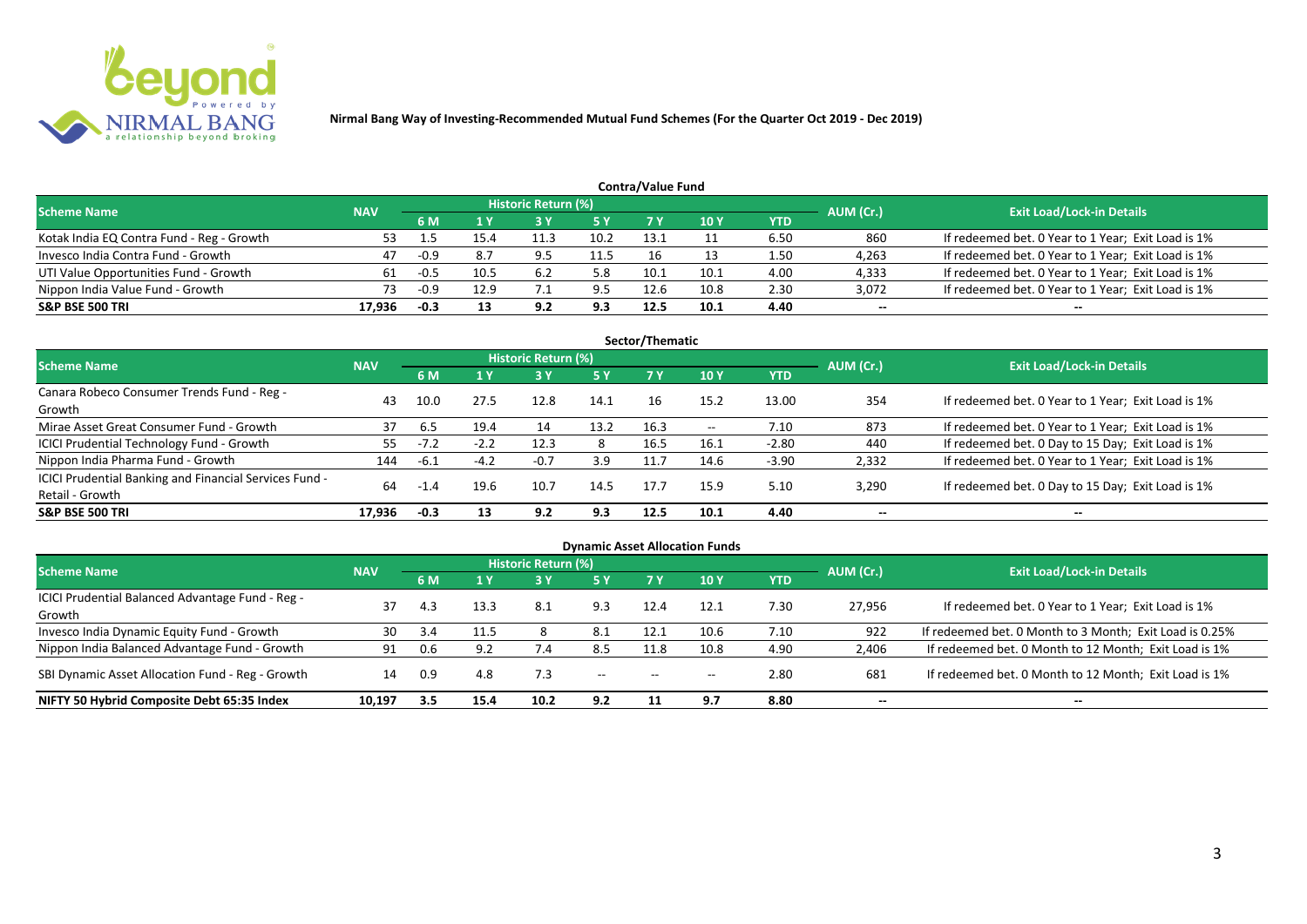

|                                           |            |        |      |                            |            | Contra/Value Fund |             |      |           |                                                    |
|-------------------------------------------|------------|--------|------|----------------------------|------------|-------------------|-------------|------|-----------|----------------------------------------------------|
| <b>Scheme Name</b>                        | <b>NAV</b> |        |      | <b>Historic Return (%)</b> |            |                   |             |      | AUM (Cr.) | <b>Exit Load/Lock-in Details</b>                   |
|                                           |            | 6 M    |      |                            | <b>5 Y</b> | 7 V               | <b>10 Y</b> | YTD  |           |                                                    |
| Kotak India EQ Contra Fund - Reg - Growth | 53         |        | 15.4 | 11.3                       | 10.2       | 13.1              |             | 6.50 | 860       | If redeemed bet. 0 Year to 1 Year; Exit Load is 1% |
| Invesco India Contra Fund - Growth        | 47         | $-0.9$ | 8.7  | 9.5                        | 11.5       | 16                |             | 1.50 | 4,263     | If redeemed bet. 0 Year to 1 Year; Exit Load is 1% |
| UTI Value Opportunities Fund - Growth     | 61         | $-0.5$ | 10.5 | 6.2                        | 5.8        | 10.1              | 10.1        | 4.00 | 4,333     | If redeemed bet. 0 Year to 1 Year; Exit Load is 1% |
| Nippon India Value Fund - Growth          | 73         | $-0.9$ | 12.9 |                            | 9.5        | 12.6              | 10.8        | 2.30 | 3,072     | If redeemed bet. 0 Year to 1 Year; Exit Load is 1% |
| <b>S&amp;P BSE 500 TRI</b>                | 17.936     | -0.3   | 13   | 9.2                        | 9.3        | 12.5              | 10.1        | 4.40 | $- -$     | $- -$                                              |

| Sector/Thematic                                        |            |        |        |                            |      |      |       |         |           |                                                    |  |  |  |
|--------------------------------------------------------|------------|--------|--------|----------------------------|------|------|-------|---------|-----------|----------------------------------------------------|--|--|--|
| <b>Scheme Name</b>                                     | <b>NAV</b> |        |        | <b>Historic Return (%)</b> |      |      |       |         | AUM (Cr.) | <b>Exit Load/Lock-in Details</b>                   |  |  |  |
|                                                        |            | 6 M    | 1Y     | 73 Y                       | 5 Y  | 7 Y  | 10Y   | YTD     |           |                                                    |  |  |  |
| Canara Robeco Consumer Trends Fund - Reg -             | 43         | 10.0   | 27.5   | 12.8                       | 14.1 | 16.  | 15.2  | 13.00   | 354       | If redeemed bet. 0 Year to 1 Year; Exit Load is 1% |  |  |  |
| Growth                                                 |            |        |        |                            |      |      |       |         |           |                                                    |  |  |  |
| Mirae Asset Great Consumer Fund - Growth               | 37         | 6.5    | 19.4   | 14                         | 13.2 | 16.3 | $- -$ | 7.10    | 873       | If redeemed bet. 0 Year to 1 Year; Exit Load is 1% |  |  |  |
| <b>ICICI Prudential Technology Fund - Growth</b>       | 55         | $-7.2$ | $-2.2$ | 12.3                       | 8    | 16.5 | 16.1  | $-2.80$ | 440       | If redeemed bet. 0 Day to 15 Day; Exit Load is 1%  |  |  |  |
| Nippon India Pharma Fund - Growth                      | 144        | $-6.1$ | $-4.2$ | $-0.7$                     | 3.9  | 11.7 | 14.6  | $-3.90$ | 2,332     | If redeemed bet. 0 Year to 1 Year; Exit Load is 1% |  |  |  |
| ICICI Prudential Banking and Financial Services Fund - | 64         |        |        | 10.7                       | 14.5 | 17.7 | 15.9  | 5.10    | 3,290     |                                                    |  |  |  |
| Retail - Growth                                        |            | $-1.4$ | 19.6   |                            |      |      |       |         |           | If redeemed bet. 0 Day to 15 Day; Exit Load is 1%  |  |  |  |
| <b>S&amp;P BSE 500 TRI</b>                             | 17.936     | -0.3   | 13     | 9.2                        | 9.3  | 12.5 | 10.1  | 4.40    | --        | $- -$                                              |  |  |  |

| <b>Dynamic Asset Allocation Funds</b>            |            |     |      |                            |            |                                                |                 |            |                          |                                                         |  |  |  |
|--------------------------------------------------|------------|-----|------|----------------------------|------------|------------------------------------------------|-----------------|------------|--------------------------|---------------------------------------------------------|--|--|--|
| <b>Scheme Name</b>                               | <b>NAV</b> |     |      | <b>Historic Return (%)</b> |            |                                                |                 |            | AUM (Cr.)                | <b>Exit Load/Lock-in Details</b>                        |  |  |  |
|                                                  |            | 6 M | 1 Y  | <b>3 Y</b>                 | <b>5 Y</b> | <b>7 Y</b>                                     | 10 <sub>Y</sub> | <b>YTD</b> |                          |                                                         |  |  |  |
| ICICI Prudential Balanced Advantage Fund - Reg - | 37         | 4.3 | 13.3 | -8.1                       | 9.3        | 12.4                                           | 12.1            | 7.30       | 27,956                   | If redeemed bet. 0 Year to 1 Year; Exit Load is 1%      |  |  |  |
| Growth                                           |            |     |      |                            |            |                                                |                 |            |                          |                                                         |  |  |  |
| Invesco India Dynamic Equity Fund - Growth       | 30         | 3.4 |      | 8                          | 8.1        | 12.1                                           | 10.6            | 7.10       | 922                      | If redeemed bet. 0 Month to 3 Month; Exit Load is 0.25% |  |  |  |
| Nippon India Balanced Advantage Fund - Growth    | 91         | 0.6 | 9.2  | 7.4                        | 8.5        | 11.8                                           | 10.8            | 4.90       | 2,406                    | If redeemed bet. 0 Month to 12 Month; Exit Load is 1%   |  |  |  |
| SBI Dynamic Asset Allocation Fund - Reg - Growth | 14         | 0.9 | 4.8  |                            | $\sim$     | $\hspace{0.1mm}-\hspace{0.1mm}-\hspace{0.1mm}$ | $- -$           | 2.80       | 681                      | If redeemed bet. 0 Month to 12 Month; Exit Load is 1%   |  |  |  |
| NIFTY 50 Hybrid Composite Debt 65:35 Index       | 10,197     | 3.5 | 15.4 | 10.2                       | 9.2        |                                                | 9.7             | 8.80       | $\overline{\phantom{a}}$ | $- -$                                                   |  |  |  |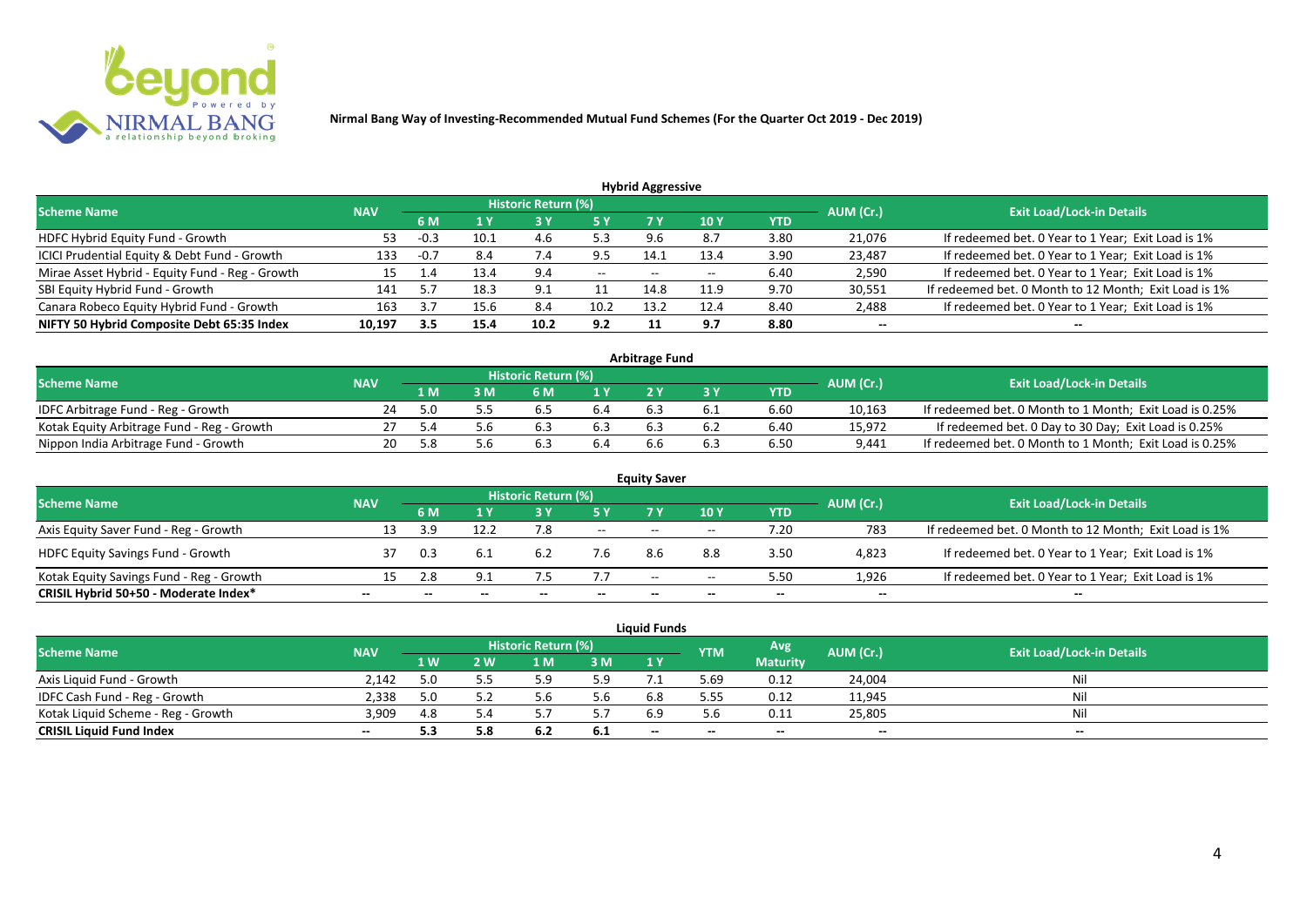

| <b>Hybrid Aggressive</b>                        |            |        |      |                            |      |       |       |            |           |                                                       |  |  |  |
|-------------------------------------------------|------------|--------|------|----------------------------|------|-------|-------|------------|-----------|-------------------------------------------------------|--|--|--|
| <b>Scheme Name</b>                              | <b>NAV</b> |        |      | <b>Historic Return (%)</b> |      |       |       |            | AUM (Cr.) | <b>Exit Load/Lock-in Details</b>                      |  |  |  |
|                                                 |            | 6 M    | 1 Y  |                            | 5 Y  |       | 10 Y  | <b>YTD</b> |           |                                                       |  |  |  |
| HDFC Hybrid Equity Fund - Growth                | 53         | -0.3   | 10.1 | 4.6                        | 5.3  |       | 8.7   | 3.80       | 21,076    | If redeemed bet. 0 Year to 1 Year; Exit Load is 1%    |  |  |  |
| ICICI Prudential Equity & Debt Fund - Growth    | 133        | $-0.7$ | 8.4  | 7.4                        | 9.5  | 14.1  | 13.4  | 3.90       | 23,487    | If redeemed bet. 0 Year to 1 Year; Exit Load is 1%    |  |  |  |
| Mirae Asset Hybrid - Equity Fund - Reg - Growth | 15         | 1.4    | 13.4 | 9.4                        | $--$ | $- -$ | $- -$ | 6.40       | 2,590     | If redeemed bet. 0 Year to 1 Year; Exit Load is 1%    |  |  |  |
| SBI Equity Hybrid Fund - Growth                 | 141        |        | 18.3 | 9.1                        | 11   | 14.8  | 11.9  | 9.70       | 30,551    | If redeemed bet. 0 Month to 12 Month; Exit Load is 1% |  |  |  |
| Canara Robeco Equity Hybrid Fund - Growth       | 163        |        | 15.6 | 8.4                        | 10.2 | 13.2  | 12.4  | 8.40       | 2,488     | If redeemed bet. 0 Year to 1 Year; Exit Load is 1%    |  |  |  |
| NIFTY 50 Hybrid Composite Debt 65:35 Index      | 10,197     | 3.5    | 15.4 | 10.2                       | 9.2  |       | 9.7   | 8.80       | $- -$     | --                                                    |  |  |  |

| <b>Arbitrage Fund</b>                      |            |      |     |                            |                  |     |     |      |           |                                                         |  |  |  |
|--------------------------------------------|------------|------|-----|----------------------------|------------------|-----|-----|------|-----------|---------------------------------------------------------|--|--|--|
| <b>Scheme Name</b>                         | <b>NAV</b> |      |     | <b>Historic Return (%)</b> |                  |     |     |      | AUM (Cr.) | <b>Exit Load/Lock-in Details</b>                        |  |  |  |
|                                            |            | L M  | : M | 6 M                        | $\overline{1}$ Y |     |     | YTD  |           |                                                         |  |  |  |
| IDFC Arbitrage Fund - Reg - Growth         | 24         | 5.0  |     | b.5                        | 6.4              |     | b.1 | 6.60 | 10,163    | If redeemed bet. 0 Month to 1 Month; Exit Load is 0.25% |  |  |  |
| Kotak Equity Arbitrage Fund - Reg - Growth |            | -5.4 |     | 6.3                        |                  |     |     | 6.40 | 15,972    | If redeemed bet. 0 Day to 30 Day; Exit Load is 0.25%    |  |  |  |
| Nippon India Arbitrage Fund - Growth       |            | 5.8  |     | . ರ                        | 6.4              | b.b |     | 6.50 | 9,441     | If redeemed bet. 0 Month to 1 Month; Exit Load is 0.25% |  |  |  |

| <b>Equity Saver</b>                      |            |     |      |                            |        |       |       |            |           |                                                       |  |  |  |
|------------------------------------------|------------|-----|------|----------------------------|--------|-------|-------|------------|-----------|-------------------------------------------------------|--|--|--|
| <b>Scheme Name</b>                       | <b>NAV</b> |     |      | <b>Historic Return (%)</b> |        |       |       |            | AUM (Cr.) | <b>Exit Load/Lock-in Details</b>                      |  |  |  |
|                                          |            | 6 M |      |                            | 5 Y    | 7V    | 10Y   | <b>YTD</b> |           |                                                       |  |  |  |
| Axis Equity Saver Fund - Reg - Growth    | 13         |     | 12.2 |                            | $  \,$ | $- -$ | $- -$ | 1.20       | 783       | If redeemed bet. 0 Month to 12 Month; Exit Load is 1% |  |  |  |
| <b>HDFC Equity Savings Fund - Growth</b> |            | 0.3 | 6.1  | 6.2                        | 7.b    | 8.6   | 8.8   | 3.50       | 4,823     | If redeemed bet. 0 Year to 1 Year; Exit Load is 1%    |  |  |  |
| Kotak Equity Savings Fund - Reg - Growth | 15         | 2.8 | 9.1  |                            | 7.7    | $- -$ | $- -$ | 5.50       | 1.926     | If redeemed bet. 0 Year to 1 Year; Exit Load is 1%    |  |  |  |
| CRISIL Hybrid 50+50 - Moderate Index*    | $- -$      |     |      |                            |        | --    | $- -$ | $- -$      | $- -$     | $- -$                                                 |  |  |  |

|                                    |            |     |              |                     |      | <b>Liquid Funds</b> |            |                 |           |                                  |
|------------------------------------|------------|-----|--------------|---------------------|------|---------------------|------------|-----------------|-----------|----------------------------------|
| <b>Scheme Name</b>                 | <b>NAV</b> |     |              | Historic Return (%) |      |                     | <b>YTM</b> | Avg.            | AUM (Cr.) | <b>Exit Load/Lock-in Details</b> |
|                                    |            | 1 W | $\mathbf{w}$ | 1 M                 | 3 M  | 1Y                  |            | <b>Maturity</b> |           |                                  |
| Axis Liquid Fund - Growth          | 2.142      |     | 5.5          |                     | 5.9  |                     | 5.69       | 0.12            | 24,004    | Nil                              |
| IDFC Cash Fund - Reg - Growth      | 2,338      |     |              |                     | 5.6  | 6.8                 | 5.55       | 0.12            | 11,945    | Nil                              |
| Kotak Liquid Scheme - Reg - Growth | 3,909      | 4.8 | - 4          |                     |      | 6.9                 | 5.h        | 0.11            | 25,805    | Nil                              |
| <b>CRISIL Liquid Fund Index</b>    | $- -$      | 5.3 | 5.8          | 6.2                 | -6.1 | $-$                 | $- -$      | $- -$           | $- -$     | $- -$                            |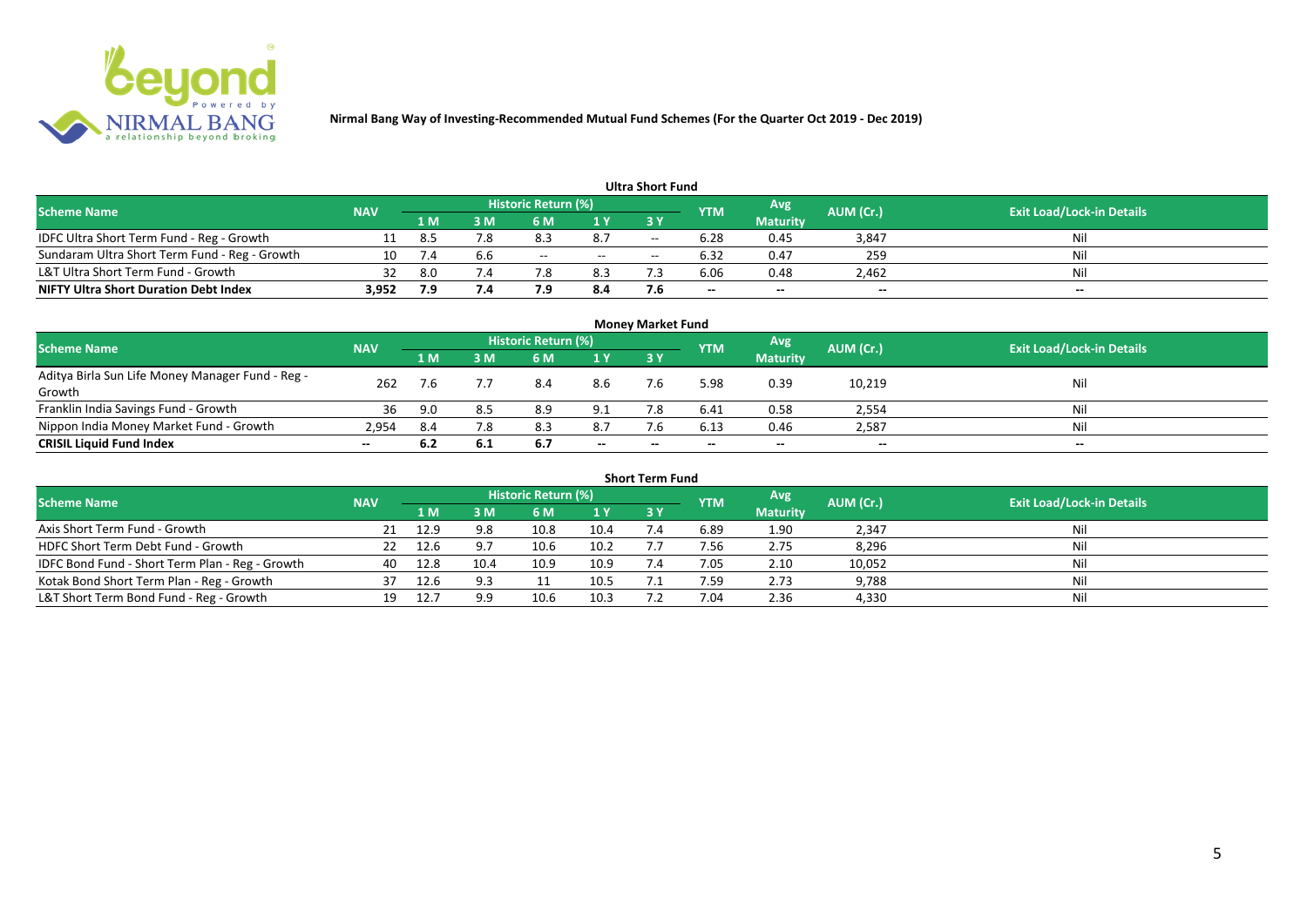

|                                               |            |     |     |                            |       | <b>Ultra Short Fund</b> |            |                 |                          |                                  |
|-----------------------------------------------|------------|-----|-----|----------------------------|-------|-------------------------|------------|-----------------|--------------------------|----------------------------------|
| <b>Scheme Name</b>                            | <b>NAV</b> |     |     | <b>Historic Return (%)</b> |       |                         | <b>YTM</b> | <b>Avg</b>      | AUM (Cr.)                | <b>Exit Load/Lock-in Details</b> |
|                                               |            | 1 M | 3 M |                            | 1 Y   | 73 Y                    |            | <b>Maturity</b> |                          |                                  |
| IDFC Ultra Short Term Fund - Reg - Growth     |            | 8.5 | 7.8 |                            | 8.7   | $- -$                   | 6.28       | 0.45            | 3,847                    | Nil                              |
| Sundaram Ultra Short Term Fund - Reg - Growth | 10         |     |     | $- -$                      | $- -$ | $- -$                   | 6.32       | 0.47            | 259                      | Nil                              |
| L&T Ultra Short Term Fund - Growth            | 32         | 8.0 | 7.4 |                            | 8.3   |                         | 6.06       | 0.48            | 2,462                    | Nil                              |
| <b>NIFTY Ultra Short Duration Debt Index</b>  | 3,952      | 7.9 | 7.4 |                            | 8.4   | 7.6                     | $- -$      | $- -$           | $\overline{\phantom{a}}$ | $-$                              |

|                                                            |            |      |     |                     |       | <b>Money Market Fund</b> |            |                 |           |                                  |
|------------------------------------------------------------|------------|------|-----|---------------------|-------|--------------------------|------------|-----------------|-----------|----------------------------------|
| <b>Scheme Name</b>                                         | <b>NAV</b> |      |     | Historic Return (%) |       |                          | <b>YTM</b> | Avg             | AUM (Cr.) | <b>Exit Load/Lock-in Details</b> |
|                                                            |            | 1 M  | 3 M | 6 M                 | 1Y    | 3Y                       |            | <b>Maturity</b> |           |                                  |
| Aditya Birla Sun Life Money Manager Fund - Reg -<br>Growth | 262        | 7.6  |     | 8.4                 | 8.6   | 7.6                      | 5.98       | 0.39            | 10,219    | Nil                              |
| Franklin India Savings Fund - Growth                       | 36         | 9.0  |     | 8.9                 | 9.1   |                          | 6.41       | 0.58            | 2,554     | Nil                              |
| Nippon India Money Market Fund - Growth                    | 2,954      | -8.4 | 7.8 | 8.3                 | 8.7   | 7.6                      | 6.13       | 0.46            | 2,587     | Nil                              |
| <b>CRISIL Liquid Fund Index</b>                            | $- -$      | 6.2  | 6.1 | 6.7                 | $- -$ | $- -$                    | $- -$      | $- -$           | $-$       | $- -$                            |

| <b>Short Term Fund</b>                          |            |      |      |                     |      |            |            |                 |           |                                  |  |  |  |
|-------------------------------------------------|------------|------|------|---------------------|------|------------|------------|-----------------|-----------|----------------------------------|--|--|--|
| <b>Scheme Name</b>                              | <b>NAV</b> |      |      | Historic Return (%) |      |            | <b>YTM</b> | Avg             | AUM (Cr.) | <b>Exit Load/Lock-in Details</b> |  |  |  |
|                                                 |            | 1 M. | 3 M  | 6 M                 | 1Y   | <b>3 Y</b> |            | <b>Maturity</b> |           |                                  |  |  |  |
| Axis Short Term Fund - Growth                   |            | 12.9 | 9.8  | 10.8                | 10.4 |            | 6.89       | 1.90            | 2,347     | Nil                              |  |  |  |
| HDFC Short Term Debt Fund - Growth              |            | 12.6 |      | 10.6                | 10.2 |            | 7.56       | 2.75            | 8,296     | Nil                              |  |  |  |
| IDFC Bond Fund - Short Term Plan - Reg - Growth | 40         | 12.8 | 10.4 | 10.9                | 10.9 | 7.4        | 7.05       | 2.10            | 10,052    | Nil                              |  |  |  |
| Kotak Bond Short Term Plan - Reg - Growth       | 37         | 12.6 | 9.3  |                     | 10.5 |            | 7.59       | 2.73            | 9,788     | Nil                              |  |  |  |
| L&T Short Term Bond Fund - Reg - Growth         |            |      | 9.9  | 10.6                | 10.3 |            | 7.04       | 2.36            | 4,330     | Nil                              |  |  |  |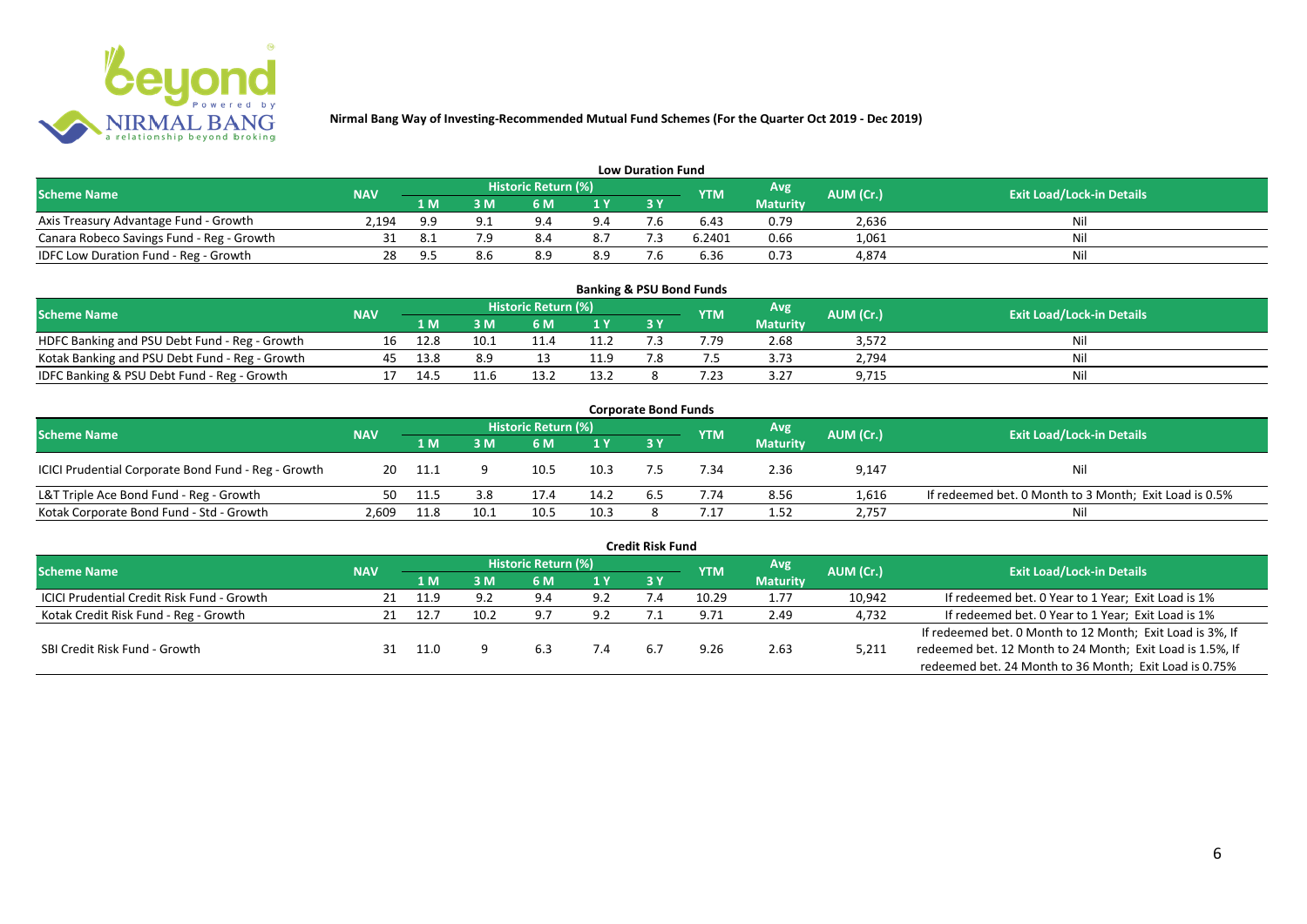

|                                           |       |                                                                      |     |     |                                  | <b>Low Duration Fund</b> |        |                 |       |     |
|-------------------------------------------|-------|----------------------------------------------------------------------|-----|-----|----------------------------------|--------------------------|--------|-----------------|-------|-----|
| <b>Scheme Name</b>                        |       | Historic Return (%)<br>Avg'<br>AUM (Cr.)<br><b>NAV</b><br><b>YTM</b> |     |     | <b>Exit Load/Lock-in Details</b> |                          |        |                 |       |     |
|                                           |       | 1 M                                                                  | 3 M | 6 M | 1 Y                              | 3 Y                      |        | <b>Maturity</b> |       |     |
| Axis Treasury Advantage Fund - Growth     | 2.194 | 9.9                                                                  |     | 9.4 | 9.4                              |                          | 6.43   | 0.79            | 2,636 | Nil |
| Canara Robeco Savings Fund - Reg - Growth |       |                                                                      |     | 8.4 | 8.7                              |                          | 6.2401 | 0.66            | 1,061 | Nil |
| IDFC Low Duration Fund - Reg - Growth     |       | o r                                                                  |     | 8.9 | 8.9                              | - -                      | 6.36   | 0.73            | 4,874 | Nil |

| <b>Banking &amp; PSU Bond Funds</b>            |            |     |      |                            |      |  |            |                 |           |                                  |  |  |  |  |
|------------------------------------------------|------------|-----|------|----------------------------|------|--|------------|-----------------|-----------|----------------------------------|--|--|--|--|
| <b>Scheme Name</b>                             | <b>NAV</b> |     |      | <b>Historic Return (%)</b> |      |  | <b>YTM</b> | Avg             | AUM (Cr.) | <b>Exit Load/Lock-in Details</b> |  |  |  |  |
|                                                |            | 1 M | ١M   | 6 M                        |      |  |            | <b>Maturity</b> |           |                                  |  |  |  |  |
| HDFC Banking and PSU Debt Fund - Reg - Growth  |            |     | 10.1 |                            |      |  | 7.79       | 2.68            | 3,572     | Nil                              |  |  |  |  |
| Kotak Banking and PSU Debt Fund - Reg - Growth |            |     | 8 Q  |                            | 11.9 |  |            | 3.73            | 2,794     | Nil                              |  |  |  |  |
| IDFC Banking & PSU Debt Fund - Reg - Growth    |            |     |      |                            | 13.2 |  | 7.23       | 3.27            | 9,715     | Nil                              |  |  |  |  |

| <b>Corporate Bond Funds</b>                         |            |       |      |                     |      |           |            |                 |           |                                                        |  |  |  |
|-----------------------------------------------------|------------|-------|------|---------------------|------|-----------|------------|-----------------|-----------|--------------------------------------------------------|--|--|--|
| <b>Scheme Name</b>                                  | <b>NAV</b> |       |      | Historic Return (%) |      |           | <b>YTM</b> | Avg             | AUM (Cr.) | <b>Exit Load/Lock-in Details</b>                       |  |  |  |
|                                                     |            | 1 M   | : M  | 6 M                 | 1Y   | <b>3Y</b> |            | <b>Maturity</b> |           |                                                        |  |  |  |
| ICICI Prudential Corporate Bond Fund - Reg - Growth | 20         | -11.1 |      | 10.5                | 10.3 |           | .34        | 2.36            | 9,147     | Nil                                                    |  |  |  |
| L&T Triple Ace Bond Fund - Reg - Growth             | 50         | 11.5  | 3.8  | 17.4                | 14.2 | 6.5       | 7.74       | 8.56            | 1,616     | If redeemed bet. 0 Month to 3 Month; Exit Load is 0.5% |  |  |  |
| Kotak Corporate Bond Fund - Std - Growth            | 2.609      | 11.8  | 10.1 | 10.5                | 10.3 |           | . 17       | 1.52            | 2,757     | Nil                                                    |  |  |  |

| <b>Credit Risk Fund</b>                           |            |      |      |                     |     |           |            |                 |           |                                                           |  |  |  |
|---------------------------------------------------|------------|------|------|---------------------|-----|-----------|------------|-----------------|-----------|-----------------------------------------------------------|--|--|--|
| <b>Scheme Name</b>                                | <b>NAV</b> |      |      | Historic Return (%) |     |           | <b>YTM</b> | Avg.            | AUM (Cr.) | <b>Exit Load/Lock-in Details</b>                          |  |  |  |
|                                                   |            | 1 M  | ١M   | 6 M                 | 1 Y | <b>3Y</b> |            | <b>Maturity</b> |           |                                                           |  |  |  |
| <b>ICICI Prudential Credit Risk Fund - Growth</b> | 21         | 11.9 |      | 9.4                 | 9.2 |           | 10.29      | 1.77            | 10,942    | If redeemed bet. 0 Year to 1 Year; Exit Load is 1%        |  |  |  |
| Kotak Credit Risk Fund - Reg - Growth             | 21         | 12.7 | 10.2 | 9.7                 | 9.2 |           | 9.71       | 2.49            | 4,732     | If redeemed bet. 0 Year to 1 Year; Exit Load is 1%        |  |  |  |
|                                                   |            |      |      |                     |     |           |            |                 |           | If redeemed bet. 0 Month to 12 Month; Exit Load is 3%, If |  |  |  |
| SBI Credit Risk Fund - Growth                     |            | 11.0 |      | 6.3                 |     |           | 9.26       | 2.63            | 5,211     | redeemed bet. 12 Month to 24 Month; Exit Load is 1.5%, If |  |  |  |
|                                                   |            |      |      |                     |     |           |            |                 |           | redeemed bet. 24 Month to 36 Month; Exit Load is 0.75%    |  |  |  |